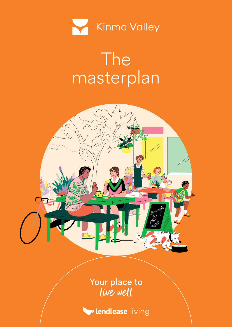

## The masterplan



Your place to live well

**Lendlease** living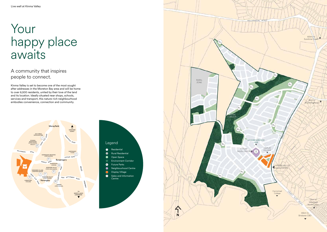

## Legend Residential  $\bullet$ **Rural Residential**  $\bullet$  $\bullet$ Open Space

- Environment Corridor
- Future Parks  $\bullet$
- Neighbourhood Centre  $\bullet$
- Display Village  $\bigcirc$
- Sales and Information **Centre**  $\bullet$

## A community that inspires people to connect.

Kinma Valley is set to become one of the most sought after addresses in the Moreton Bay area and will be home to over 6,500 residents, united by their love of the land and its location. Ideally situated near shops, schools, services and transport, this nature-rich neighbourhood embodies convenience, connection and community.

## Your happy place awaits